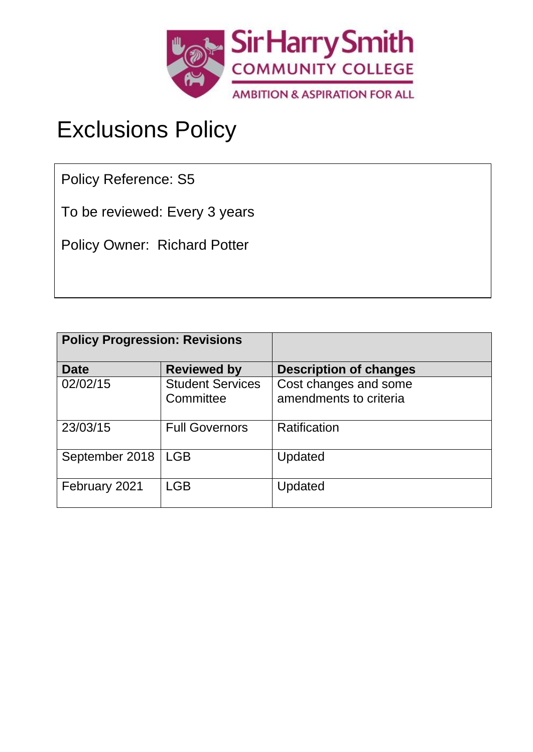

# Exclusions Policy

Policy Reference: S5

To be reviewed: Every 3 years

Policy Owner: Richard Potter

| <b>Policy Progression: Revisions</b> |                                      |                                                 |
|--------------------------------------|--------------------------------------|-------------------------------------------------|
| <b>Date</b>                          | <b>Reviewed by</b>                   | <b>Description of changes</b>                   |
| 02/02/15                             | <b>Student Services</b><br>Committee | Cost changes and some<br>amendments to criteria |
| 23/03/15                             | <b>Full Governors</b>                | Ratification                                    |
| September 2018                       | <b>LGB</b>                           | Updated                                         |
| February 2021                        | <b>LGB</b>                           | Updated                                         |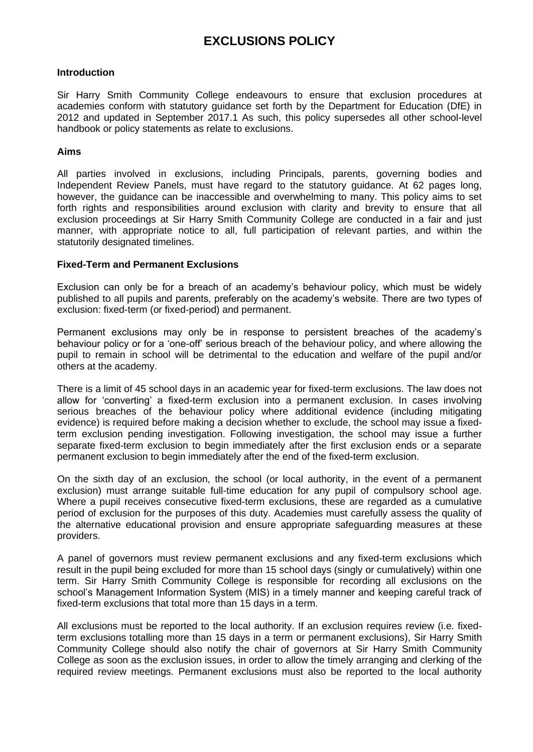# **EXCLUSIONS POLICY**

# **Introduction**

Sir Harry Smith Community College endeavours to ensure that exclusion procedures at academies conform with statutory guidance set forth by the Department for Education (DfE) in 2012 and updated in September 2017.1 As such, this policy supersedes all other school-level handbook or policy statements as relate to exclusions.

# **Aims**

All parties involved in exclusions, including Principals, parents, governing bodies and Independent Review Panels, must have regard to the statutory guidance. At 62 pages long, however, the guidance can be inaccessible and overwhelming to many. This policy aims to set forth rights and responsibilities around exclusion with clarity and brevity to ensure that all exclusion proceedings at Sir Harry Smith Community College are conducted in a fair and just manner, with appropriate notice to all, full participation of relevant parties, and within the statutorily designated timelines.

# **Fixed-Term and Permanent Exclusions**

Exclusion can only be for a breach of an academy's behaviour policy, which must be widely published to all pupils and parents, preferably on the academy's website. There are two types of exclusion: fixed-term (or fixed-period) and permanent.

Permanent exclusions may only be in response to persistent breaches of the academy's behaviour policy or for a 'one-off' serious breach of the behaviour policy, and where allowing the pupil to remain in school will be detrimental to the education and welfare of the pupil and/or others at the academy.

There is a limit of 45 school days in an academic year for fixed-term exclusions. The law does not allow for 'converting' a fixed-term exclusion into a permanent exclusion. In cases involving serious breaches of the behaviour policy where additional evidence (including mitigating evidence) is required before making a decision whether to exclude, the school may issue a fixedterm exclusion pending investigation. Following investigation, the school may issue a further separate fixed-term exclusion to begin immediately after the first exclusion ends or a separate permanent exclusion to begin immediately after the end of the fixed-term exclusion.

On the sixth day of an exclusion, the school (or local authority, in the event of a permanent exclusion) must arrange suitable full-time education for any pupil of compulsory school age. Where a pupil receives consecutive fixed-term exclusions, these are regarded as a cumulative period of exclusion for the purposes of this duty. Academies must carefully assess the quality of the alternative educational provision and ensure appropriate safeguarding measures at these providers.

A panel of governors must review permanent exclusions and any fixed-term exclusions which result in the pupil being excluded for more than 15 school days (singly or cumulatively) within one term. Sir Harry Smith Community College is responsible for recording all exclusions on the school's Management Information System (MIS) in a timely manner and keeping careful track of fixed-term exclusions that total more than 15 days in a term.

All exclusions must be reported to the local authority. If an exclusion requires review (i.e. fixedterm exclusions totalling more than 15 days in a term or permanent exclusions), Sir Harry Smith Community College should also notify the chair of governors at Sir Harry Smith Community College as soon as the exclusion issues, in order to allow the timely arranging and clerking of the required review meetings. Permanent exclusions must also be reported to the local authority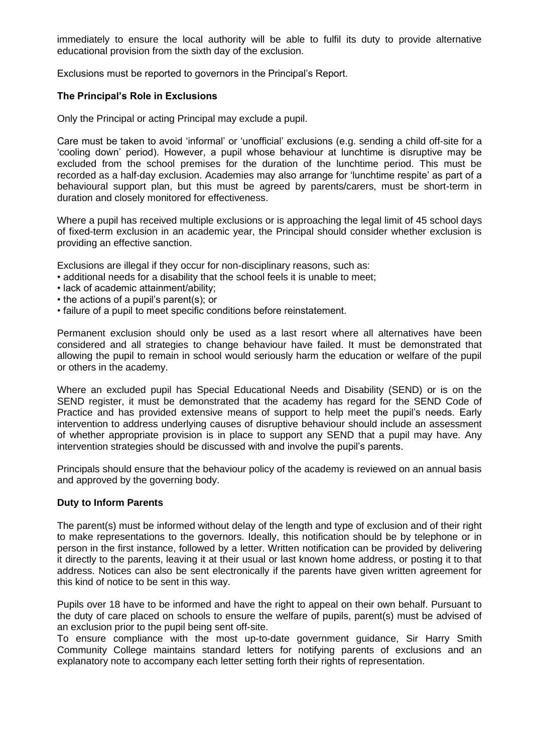immediately to ensure the local authority will be able to fulfil its duty to provide alternative educational provision from the sixth day of the exclusion.

Exclusions must be reported to governors in the Principal's Report.

# **The Principal's Role in Exclusions**

Only the Principal or acting Principal may exclude a pupil.

Care must be taken to avoid 'informal' or 'unofficial' exclusions (e.g. sending a child off-site for a 'cooling down' period). However, a pupil whose behaviour at lunchtime is disruptive may be excluded from the school premises for the duration of the lunchtime period. This must be recorded as a half-day exclusion. Academies may also arrange for 'lunchtime respite' as part of a behavioural support plan, but this must be agreed by parents/carers, must be short-term in duration and closely monitored for effectiveness.

Where a pupil has received multiple exclusions or is approaching the legal limit of 45 school days of fixed-term exclusion in an academic year, the Principal should consider whether exclusion is providing an effective sanction.

Exclusions are illegal if they occur for non-disciplinary reasons, such as:

- additional needs for a disability that the school feels it is unable to meet;
- lack of academic attainment/ability;
- the actions of a pupil's parent(s); or
- failure of a pupil to meet specific conditions before reinstatement.

Permanent exclusion should only be used as a last resort where all alternatives have been considered and all strategies to change behaviour have failed. It must be demonstrated that allowing the pupil to remain in school would seriously harm the education or welfare of the pupil or others in the academy.

Where an excluded pupil has Special Educational Needs and Disability (SEND) or is on the SEND register, it must be demonstrated that the academy has regard for the SEND Code of Practice and has provided extensive means of support to help meet the pupil's needs. Early intervention to address underlying causes of disruptive behaviour should include an assessment of whether appropriate provision is in place to support any SEND that a pupil may have. Any intervention strategies should be discussed with and involve the pupil's parents.

Principals should ensure that the behaviour policy of the academy is reviewed on an annual basis and approved by the governing body.

#### **Duty to Inform Parents**

The parent(s) must be informed without delay of the length and type of exclusion and of their right to make representations to the governors. Ideally, this notification should be by telephone or in person in the first instance, followed by a letter. Written notification can be provided by delivering it directly to the parents, leaving it at their usual or last known home address, or posting it to that address. Notices can also be sent electronically if the parents have given written agreement for this kind of notice to be sent in this way.

Pupils over 18 have to be informed and have the right to appeal on their own behalf. Pursuant to the duty of care placed on schools to ensure the welfare of pupils, parent(s) must be advised of an exclusion prior to the pupil being sent off-site.

To ensure compliance with the most up-to-date government guidance, Sir Harry Smith Community College maintains standard letters for notifying parents of exclusions and an explanatory note to accompany each letter setting forth their rights of representation.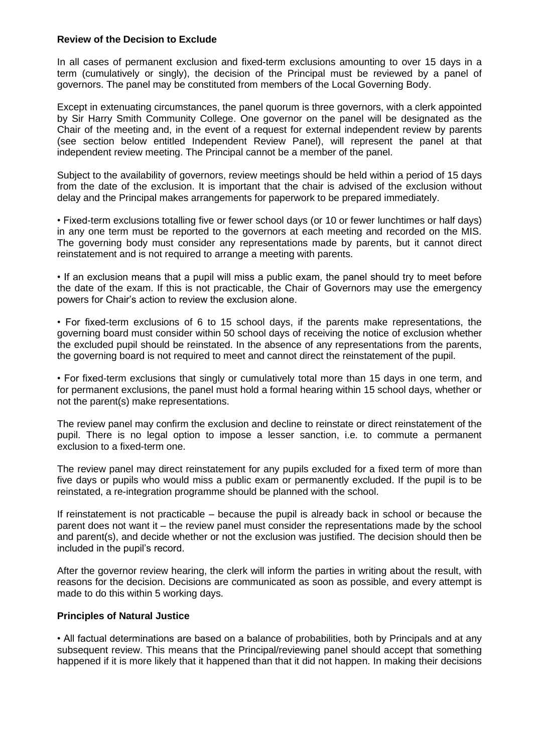# **Review of the Decision to Exclude**

In all cases of permanent exclusion and fixed-term exclusions amounting to over 15 days in a term (cumulatively or singly), the decision of the Principal must be reviewed by a panel of governors. The panel may be constituted from members of the Local Governing Body.

Except in extenuating circumstances, the panel quorum is three governors, with a clerk appointed by Sir Harry Smith Community College. One governor on the panel will be designated as the Chair of the meeting and, in the event of a request for external independent review by parents (see section below entitled Independent Review Panel), will represent the panel at that independent review meeting. The Principal cannot be a member of the panel.

Subject to the availability of governors, review meetings should be held within a period of 15 days from the date of the exclusion. It is important that the chair is advised of the exclusion without delay and the Principal makes arrangements for paperwork to be prepared immediately.

• Fixed-term exclusions totalling five or fewer school days (or 10 or fewer lunchtimes or half days) in any one term must be reported to the governors at each meeting and recorded on the MIS. The governing body must consider any representations made by parents, but it cannot direct reinstatement and is not required to arrange a meeting with parents.

• If an exclusion means that a pupil will miss a public exam, the panel should try to meet before the date of the exam. If this is not practicable, the Chair of Governors may use the emergency powers for Chair's action to review the exclusion alone.

• For fixed-term exclusions of 6 to 15 school days, if the parents make representations, the governing board must consider within 50 school days of receiving the notice of exclusion whether the excluded pupil should be reinstated. In the absence of any representations from the parents, the governing board is not required to meet and cannot direct the reinstatement of the pupil.

• For fixed-term exclusions that singly or cumulatively total more than 15 days in one term, and for permanent exclusions, the panel must hold a formal hearing within 15 school days, whether or not the parent(s) make representations.

The review panel may confirm the exclusion and decline to reinstate or direct reinstatement of the pupil. There is no legal option to impose a lesser sanction, i.e. to commute a permanent exclusion to a fixed-term one.

The review panel may direct reinstatement for any pupils excluded for a fixed term of more than five days or pupils who would miss a public exam or permanently excluded. If the pupil is to be reinstated, a re-integration programme should be planned with the school.

If reinstatement is not practicable – because the pupil is already back in school or because the parent does not want it – the review panel must consider the representations made by the school and parent(s), and decide whether or not the exclusion was justified. The decision should then be included in the pupil's record.

After the governor review hearing, the clerk will inform the parties in writing about the result, with reasons for the decision. Decisions are communicated as soon as possible, and every attempt is made to do this within 5 working days.

# **Principles of Natural Justice**

• All factual determinations are based on a balance of probabilities, both by Principals and at any subsequent review. This means that the Principal/reviewing panel should accept that something happened if it is more likely that it happened than that it did not happen. In making their decisions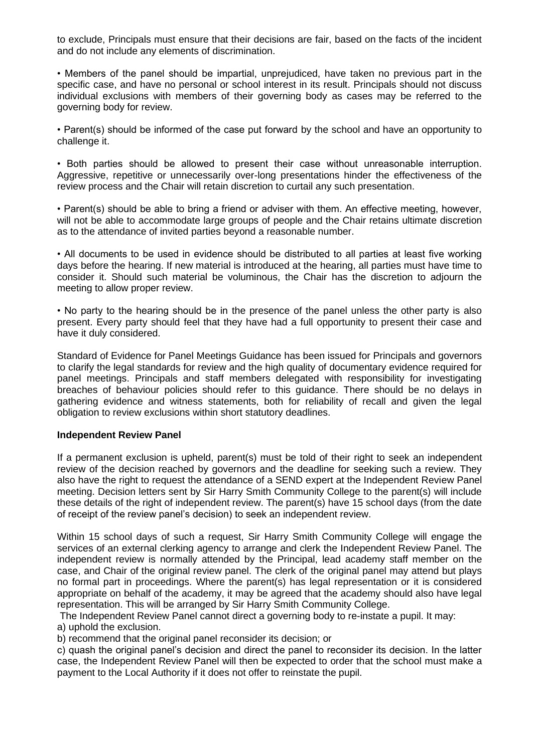to exclude, Principals must ensure that their decisions are fair, based on the facts of the incident and do not include any elements of discrimination.

• Members of the panel should be impartial, unprejudiced, have taken no previous part in the specific case, and have no personal or school interest in its result. Principals should not discuss individual exclusions with members of their governing body as cases may be referred to the governing body for review.

• Parent(s) should be informed of the case put forward by the school and have an opportunity to challenge it.

• Both parties should be allowed to present their case without unreasonable interruption. Aggressive, repetitive or unnecessarily over-long presentations hinder the effectiveness of the review process and the Chair will retain discretion to curtail any such presentation.

• Parent(s) should be able to bring a friend or adviser with them. An effective meeting, however, will not be able to accommodate large groups of people and the Chair retains ultimate discretion as to the attendance of invited parties beyond a reasonable number.

• All documents to be used in evidence should be distributed to all parties at least five working days before the hearing. If new material is introduced at the hearing, all parties must have time to consider it. Should such material be voluminous, the Chair has the discretion to adjourn the meeting to allow proper review.

• No party to the hearing should be in the presence of the panel unless the other party is also present. Every party should feel that they have had a full opportunity to present their case and have it duly considered.

Standard of Evidence for Panel Meetings Guidance has been issued for Principals and governors to clarify the legal standards for review and the high quality of documentary evidence required for panel meetings. Principals and staff members delegated with responsibility for investigating breaches of behaviour policies should refer to this guidance. There should be no delays in gathering evidence and witness statements, both for reliability of recall and given the legal obligation to review exclusions within short statutory deadlines.

# **Independent Review Panel**

If a permanent exclusion is upheld, parent(s) must be told of their right to seek an independent review of the decision reached by governors and the deadline for seeking such a review. They also have the right to request the attendance of a SEND expert at the Independent Review Panel meeting. Decision letters sent by Sir Harry Smith Community College to the parent(s) will include these details of the right of independent review. The parent(s) have 15 school days (from the date of receipt of the review panel's decision) to seek an independent review.

Within 15 school days of such a request, Sir Harry Smith Community College will engage the services of an external clerking agency to arrange and clerk the Independent Review Panel. The independent review is normally attended by the Principal, lead academy staff member on the case, and Chair of the original review panel. The clerk of the original panel may attend but plays no formal part in proceedings. Where the parent(s) has legal representation or it is considered appropriate on behalf of the academy, it may be agreed that the academy should also have legal representation. This will be arranged by Sir Harry Smith Community College.

The Independent Review Panel cannot direct a governing body to re-instate a pupil. It may: a) uphold the exclusion.

b) recommend that the original panel reconsider its decision; or

c) quash the original panel's decision and direct the panel to reconsider its decision. In the latter case, the Independent Review Panel will then be expected to order that the school must make a payment to the Local Authority if it does not offer to reinstate the pupil.